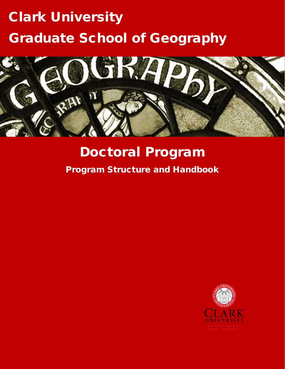# Clark University Graduate School of Geography



# Doctoral Program

Program Structure and Handbook

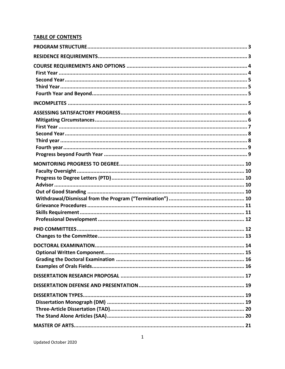# **TABLE OF CONTENTS**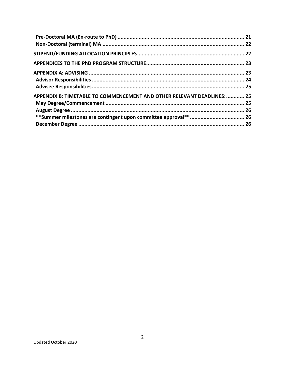| APPENDIX B: TIMETABLE TO COMMENCEMENT AND OTHER RELEVANT DEADLINES:  25 |  |
|-------------------------------------------------------------------------|--|
|                                                                         |  |
|                                                                         |  |
|                                                                         |  |
|                                                                         |  |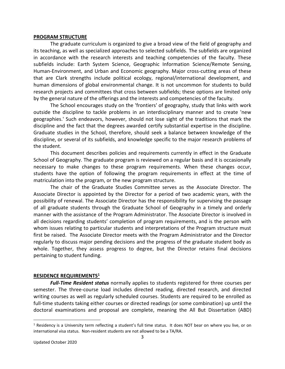#### <span id="page-3-0"></span>**PROGRAM STRUCTURE**

 The graduate curriculum is organized to give a broad view of the field of geography and its teaching, as well as specialized approaches to selected subfields. The subfields are organized in accordance with the research interests and teaching competencies of the faculty. These Human-Environment, and Urban and Economic geography. Major cross-cutting areas of these that are Clark strengths include political ecology, regional/international development, and human dimensions of global environmental change. It is not uncommon for students to build research projects and committees that cross between subfields; these options are limited only by the general nature of the offerings and the interests and competencies of the faculty. subfields include: Earth System Science, Geographic Information Science/Remote Sensing,

 The School encourages study on the 'frontiers' of geography, study that links with work outside the discipline to tackle problems in an interdisciplinary manner and to create 'new geographies.' Such endeavors, however, should not lose sight of the traditions that mark the discipline and the fact that the degrees awarded certify substantial expertise in the discipline. Graduate studies in the School, therefore, should seek a balance between knowledge of the discipline, or several of its subfields, and knowledge specific to the major research problems of the student.

 This document describes policies and requirements currently in effect in the Graduate School of Geography. The graduate program is reviewed on a regular basis and it is occasionally necessary to make changes to these program requirements. When these changes occur, students have the option of following the program requirements in effect at the time of matriculation into the program, or the new program structure.

 The chair of the Graduate Studies Committee serves as the Associate Director. The Associate Director is appointed by the Director for a period of two academic years, with the of all graduate students through the Graduate School of Geography in a timely and orderly manner with the assistance of the Program Administrator. The Associate Director is involved in all decisions regarding students' completion of program requirements, and is the person with first be raised. The Associate Director meets with the Program Administrator and the Director regularly to discuss major pending decisions and the progress of the graduate student body as pertaining to student funding. possibility of renewal. The Associate Director has the responsibility for supervising the passage whom issues relating to particular students and interpretations of the Program structure must whole. Together, they assess progress to degree, but the Director retains final decisions

#### <span id="page-3-1"></span>**RESIDENCE REQUIREMENTS1**

 *Full-Time Resident status* normally applies to students registered for three courses per semester. The three-course load includes directed reading, directed research, and directed writing courses as well as regularly scheduled courses. Students are required to be enrolled as full-time students taking either courses or directed readings (or some combination) up until the doctoral examinations and proposal are complete, meaning the All But Dissertation (ABD)

 $1$  Residency is a University term reflecting a student's full time status. It does NOT bear on where you live, or on international visa status. Non-resident students are not allowed to be a TA/RA.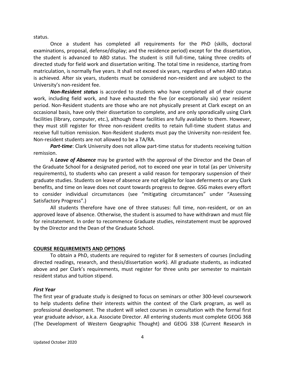status.

 Once a student has completed all requirements for the PhD (skills, doctoral examinations, proposal, defense/display; and the residence period) except for the dissertation, the student is advanced to ABD status. The student is still full-time, taking three credits of directed study for field work and dissertation writing. The total time in residence, starting from matriculation, is normally five years. It shall not exceed six years, regardless of when ABD status is achieved. After six years, students must be considered non-resident and are subject to the University's non-resident fee.

 *Non-Resident status* is accorded to students who have completed all of their course work, including field work, and have exhausted the five (or exceptionally six) year resident period. Non-Resident students are those who are not physically present at Clark except on an occasional basis, have only their dissertation to complete, and are only sporadically using Clark they must still register for three non-resident credits to retain full-time student status and receive full tuition remission. Non-Resident students must pay the University non-resident fee. Non-resident students are not allowed to be a TA/RA. facilities (library, computer, etc.), although these facilities are fully available to them. However,

 *Part-time*: Clark University does not allow part-time status for students receiving tuition remission.

 A *Leave of Absence* may be granted with the approval of the Director and the Dean of the Graduate School for a designated period, not to exceed one year in total (as per University requirements), to students who can present a valid reason for temporary suspension of their graduate studies. Students on leave of absence are not eligible for loan deferments or any Clark benefits, and time on leave does not count towards progress to degree. GSG makes every effort to consider individual circumstances (see "mitigating circumstances" under "Assessing Satisfactory Progress".)

 All students therefore have one of three statuses: full time, non-resident, or on an approved leave of absence. Otherwise, the student is assumed to have withdrawn and must file for reinstatement. In order to recommence Graduate studies, reinstatement must be approved by the Director and the Dean of the Graduate School.

#### <span id="page-4-0"></span>**COURSE REQUIREMENTS AND OPTIONS**

 To obtain a PhD, students are required to register for 8 semesters of courses (including directed readings, research, and thesis/dissertation work). All graduate students, as indicated above and per Clark's requirements, must register for three units per semester to maintain resident status and tuition stipend.

#### <span id="page-4-1"></span>*First Year*

 The first year of graduate study is designed to focus on seminars or other 300-level coursework to help students define their interests within the context of the Clark program, as well as professional development. The student will select courses in consultation with the formal first year graduate advisor, a.k.a. Associate Director. All entering students must complete GEOG 368 (The Development of Western Geographic Thought) and GEOG 338 (Current Research in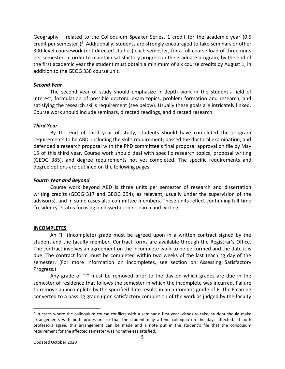Geography – related to the Colloquium Speaker Series, 1 credit for the academic year (0.5 credit per semester))<sup>2</sup>. Additionally, students are strongly encouraged to take seminars or other 300-level coursework (not directed studies) each semester, for a full course load of three units per semester. In order to maintain satisfactory progress in the graduate program, by the end of the first academic year the student must obtain a minimum of six course credits by August 1, in addition to the GEOG 338 course unit.

# <span id="page-5-0"></span>*Second Year*

 The second year of study should emphasize in-depth work in the student's field of interest, formulation of possible doctoral exam topics, problem formation and research, and satisfying the research skills requirement (see below). Usually these goals are intricately linked. Course work should include seminars, directed readings, and directed research.

### <span id="page-5-1"></span>*Third Year*

 By the end of third year of study, students should have completed the program requirements to be ABD, including the skills requirement; passed the doctoral examination; and defended a research proposal with the PhD committee's final proposal approval on file by May 15 of this third year. Course work should deal with specific research topics, proposal writing degree options are outlined on the following pages. (GEOG 385), and degree requirements not yet completed. The specific requirements and

### <span id="page-5-2"></span>*Fourth Year and Beyond*

 Course work beyond ABD is three units per semester of research and dissertation writing credits (GEOG 317 and GEOG 394), as relevant, usually under the supervision of the advisor(s), and in some cases also committee members. These units reflect continuing full-time "residency" status focusing on dissertation research and writing.

# <span id="page-5-3"></span>**INCOMPLETES**

 An "I" (Incomplete) grade must be agreed upon in a written contract signed by the student and the faculty member. Contract forms are available through the Registrar's Office. The contract involves an agreement on the incomplete work to be performed and the date it is due. The contract form must be completed within two weeks of the last teaching day of the semester. (For more information on incompletes, see section on Assessing Satisfactory Progress.)

 Any grade of "I" must be removed prior to the day on which grades are due in the semester of residence that follows the semester in which the incomplete was incurred. Failure to remove an incomplete by the specified date results in an automatic grade of F. The F can be converted to a passing grade upon satisfactory completion of the work as judged by the faculty

 $<sup>2</sup>$  In cases where the colloquium course conflicts with a seminar a first year wishes to take, student should make</sup> arrangements with both professors so that the student may attend colloquia on the days affected. If both professors agree, this arrangement can be made and a note put in the student's file that the colloquium requirement for the affected semester was nonetheless satisfied.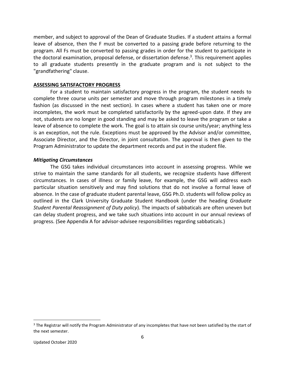member, and subject to approval of the Dean of Graduate Studies. If a student attains a formal leave of absence, then the F must be converted to a passing grade before returning to the program. All Fs must be converted to passing grades in order for the student to participate in the doctoral examination, proposal defense, or dissertation defense.<sup>3</sup>. This requirement applies to all graduate students presently in the graduate program and is not subject to the "grandfathering" clause.

#### <span id="page-6-0"></span>**ASSESSING SATISFACTORY PROGRESS**

 For a student to maintain satisfactory progress in the program, the student needs to complete three course units per semester and move through program milestones in a timely fashion (as discussed in the next section). In cases where a student has taken one or more incompletes, the work must be completed satisfactorily by the agreed-upon date. If they are not, students are no longer in good standing and may be asked to leave the program or take a leave of absence to complete the work. The goal is to attain six course units/year; anything less is an exception, not the rule. Exceptions must be approved by the Advisor and/or committee, Associate Director, and the Director, in joint consultation. The approval is then given to the Program Administrator to update the department records and put in the student file.

#### <span id="page-6-1"></span>*Mitigating Circumstances*

 The GSG takes individual circumstances into account in assessing progress. While we strive to maintain the same standards for all students, we recognize students have different circumstances. In cases of illness or family leave, for example, the GSG will address each particular situation sensitively and may find solutions that do not involve a formal leave of absence. In the case of graduate student parental leave, GSG Ph.D. students will follow policy as outlined in the Clark University Graduate Student Handbook (under the heading *Graduate Student Parental Reassignment of Duty policy*). The impacts of sabbaticals are often uneven but can delay student progress, and we take such situations into account in our annual reviews of progress. (See Appendix A for advisor-advisee responsibilities regarding sabbaticals.)

<sup>&</sup>lt;sup>3</sup> The Registrar will notify the Program Administrator of any incompletes that have not been satisfied by the start of the next semester.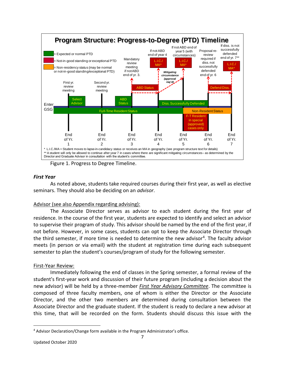

Figure 1. Progress to Degree Timeline.

# <span id="page-7-0"></span>*First Year*

 As noted above, students take required courses during their first year, as well as elective seminars. They should also be deciding on an *advisor*.

# Advisor (see also Appendix regarding advising):

 The Associate Director serves as advisor to each student during the first year of residence. In the course of the first year, students are expected to identify and select an advisor to supervise their program of study. This advisor should be named by the end of the first year, if not before. However, in some cases, students can opt to keep the Associate Director through the third semester, if more time is needed to determine the new advisor<sup>4</sup>. The faculty advisor meets (in person or via email) with the student at registration time during each subsequent semester to plan the student's courses/program of study for the following semester.

# First-Year Review:

 Immediately following the end of classes in the Spring semester, a formal review of the student's first-year work and discussion of their future program (including a decision about the new advisor) will be held by a three-member *First Year Advisory Committee*. The committee is composed of three faculty members, one of whom is either the Director or the Associate Director, and the other two members are determined during consultation between the Associate Director and the graduate student. If the student is ready to declare a new advisor at this time, that will be recorded on the form. Students should discuss this issue with the

<sup>4</sup> Advisor Declaration/Change form available in the Program Administrator's office.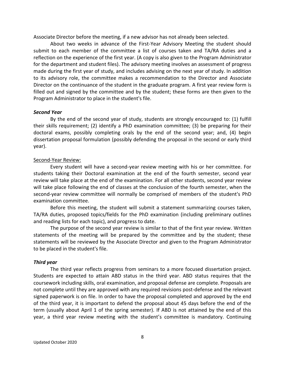Associate Director before the meeting, if a new advisor has not already been selected.

 About two weeks in advance of the First-Year Advisory Meeting the student should submit to each member of the committee a list of courses taken and TA/RA duties and a reflection on the experience of the first year. (A copy is also given to the Program Administrator for the department and student files). The advisory meeting involves an assessment of progress made during the first year of study, and includes advising on the next year of study. In addition to its advisory role, the committee makes a recommendation to the Director and Associate Director on the continuance of the student in the graduate program. A first year review form is filled out and signed by the committee and by the student; these forms are then given to the Program Administrator to place in the student's file.

#### <span id="page-8-0"></span>*Second Year*

 By the end of the second year of study, students are strongly encouraged to: (1) fulfill their skills requirement; (2) identify a PhD examination committee; (3) be preparing for their doctoral exams, possibly completing orals by the end of the second year; and, (4) begin dissertation proposal formulation (possibly defending the proposal in the second or early third year).

#### Second-Year Review:

 Every student will have a second-year review meeting with his or her committee. For students taking their Doctoral examination at the end of the fourth semester, second year review will take place at the end of the examination. For all other students, second year review will take place following the end of classes at the conclusion of the fourth semester, when the second-year review committee will normally be comprised of members of the student's PhD examination committee.

 Before this meeting, the student will submit a statement summarizing courses taken, TA/RA duties, proposed topics/fields for the PhD examination (including preliminary outlines and reading lists for each topic), and progress to date.

 The purpose of the second year review is similar to that of the first year review. Written statements of the meeting will be prepared by the committee and by the student; these statements will be reviewed by the Associate Director and given to the Program Administrator to be placed in the student's file.

#### <span id="page-8-1"></span>*Third year*

 The third year reflects progress from seminars to a more focused dissertation project. Students are expected to attain ABD status in the third year. ABD status requires that the coursework including skills, oral examination, and proposal defense are complete. Proposals are not complete until they are approved with any required revisions post-defense and the relevant signed paperwork is on file. In order to have the proposal completed and approved by the end of the third year, it is important to defend the proposal about 45 days before the end of the term (usually about April 1 of the spring semester). If ABD is not attained by the end of this year, a third year review meeting with the student's committee is mandatory. Continuing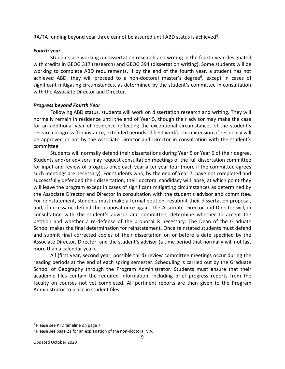RA/TA funding beyond year three cannot be assured until ABD status is achieved<sup>5</sup>.

# <span id="page-9-0"></span>*Fourth year*

 Students are working on dissertation research and writing in the fourth year designated with credits in GEOG 317 (research) and GEOG 394 (dissertation writing). Some students will be working to complete ABD requirements. If by the end of the fourth year, a student has not achieved ABD, they will proceed to a non-doctoral master's degree<sup>6</sup>, except in cases of significant mitigating circumstances, as determined by the student's committee in consultation with the Associate Director and Director.

# <span id="page-9-1"></span> *Progress beyond Fourth Year*

 Following ABD status, students will work on dissertation research and writing. They will normally remain in residence until the end of Year 5, though their advisor may make the case for an additional year of residence reflecting the exceptional circumstances of the student's research progress (for instance, extended periods of field work). This extension of residency will be approved or not by the Associate Director and Director in consultation with the student's committee.

 Students will normally defend their dissertations during Year 5 or Year 6 of their degree. Students and/or advisors may request consultation meetings of the full dissertation committee for input and review of progress once each year after year four (more if the committee agrees such meetings are necessary). For students who, by the end of Year 7, have not completed and successfully defended their dissertation, their doctoral candidacy will lapse, at which point they will leave the program except in cases of significant mitigating circumstances as determined by the Associate Director and Director in consultation with the student's advisor and committee. For reinstatement, students must make a formal petition, resubmit their dissertation proposal, and, if necessary, defend the proposal once again. The Associate Director and Director will, in consultation with the student's advisor and committee, determine whether to accept the petition and whether a re-defense of the proposal is necessary. The Dean of the Graduate School makes the final determination for reinstatement. Once reinstated students must defend and submit final corrected copies of their dissertation on or before a date specified by the Associate Director, Director, and the student's advisor (a time period that normally will not last more than a calendar year).

 All (first year, second year, possible third) review committee meetings occur during the reading periods at the end of each spring semester. Scheduling is carried out by the Graduate School of Geography through the Program Administrator. Students must ensure that their academic files contain the required information, including brief progress reports from the faculty on courses not yet completed. All pertinent reports are then given to the Program Administrator to place in student files.

<sup>&</sup>lt;sup>5</sup> Please see PTD timeline on page 7.<br><sup>6</sup> Please see page 21 for an explanation of the non-doctoral MA.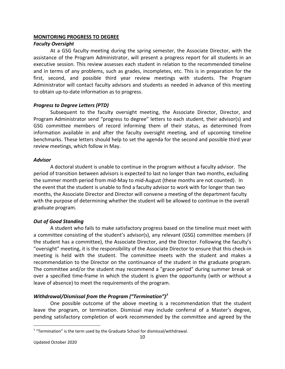### <span id="page-10-0"></span>**MONITORING PROGRESS TO DEGREE**

### *Faculty Oversight*

 At a GSG faculty meeting during the spring semester, the Associate Director, with the assistance of the Program Administrator, will present a progress report for all students in an executive session. This review assesses each student in relation to the recommended timeline and in terms of any problems, such as grades, incompletes, etc. This is in preparation for the first, second, and possible third year review meetings with students. The Program Administrator will contact faculty advisors and students as needed in advance of this meeting to obtain up-to-date information as to progress.

# *Progress to Degree Letters (PTD)*

 Subsequent to the faculty oversight meeting, the Associate Director, Director, and Program Administrator send "progress to degree" letters to each student, their advisor(s) and GSG committee members of record informing them of their status, as determined from information available in and after the faculty oversight meeting, and of upcoming timeline benchmarks. These letters should help to set the agenda for the second and possible third year review meetings, which follow in May.

### *Advisor*

 A doctoral student is unable to continue in the program without a faculty advisor. The period of transition between advisors is expected to last no longer than two months, excluding the summer month period from mid-May to mid-August (these months are not counted). In the event that the student is unable to find a faculty advisor to work with for longer than two months, the Associate Director and Director will convene a meeting of the department faculty with the purpose of determining whether the student will be allowed to continue in the overall graduate program.

# *Out of Good Standing*

 A student who fails to make satisfactory progress based on the timeline must meet with a committee consisting of the student's advisor(s), any relevant (GSG) committee members (if the student has a committee), the Associate Director, and the Director. Following the faculty's "oversight" meeting, it is the responsibility of the Associate Director to ensure that this check-in meeting is held with the student. The committee meets with the student and makes a recommendation to the Director on the continuance of the student in the graduate program. The committee and/or the student may recommend a "grace period" during summer break or over a specified time-frame in which the student is given the opportunity (with or without a leave of absence) to meet the requirements of the program.

# *Withdrawal/Dismissal from the Program ("Termination")<sup>7</sup>*

 One possible outcome of the above meeting is a recommendation that the student leave the program, or termination. Dismissal may include conferral of a Master's degree, pending satisfactory completion of work recommended by the committee and agreed by the

 $7$  "Termination" is the term used by the Graduate School for dismissal/withdrawal.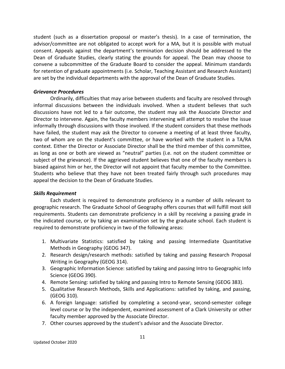<span id="page-11-1"></span> student (such as a dissertation proposal or master's thesis). In a case of termination, the advisor/committee are not obligated to accept work for a MA, but it is possible with mutual consent. Appeals against the department's termination decision should be addressed to the Dean of Graduate Studies, clearly stating the grounds for appeal. The Dean may choose to convene a subcommittee of the Graduate Board to consider the appeal. Minimum standards for retention of graduate appointments (i.e. Scholar, Teaching Assistant and Research Assistant) are set by the individual departments with the approval of the Dean of Graduate Studies.

#### *Grievance Procedures*

 Ordinarily, difficulties that may arise between students and faculty are resolved through informal discussions between the individuals involved. When a student believes that such discussions have not led to a fair outcome, the student may ask the Associate Director and informally through discussions with those involved. If the student considers that these methods have failed, the student may ask the Director to convene a meeting of at least three faculty, two of whom are on the student's committee, or have worked with the student in a TA/RA context. Either the Director or Associate Director shall be the third member of this committee, as long as one or both are viewed as "neutral" parties (i.e. not on the student committee or subject of the grievance). If the aggrieved student believes that one of the faculty members is biased against him or her, the Director will not appoint that faculty member to the Committee. Students who believe that they have not been treated fairly through such procedures may appeal the decision to the Dean of Graduate Studies. Director to intervene. Again, the faculty members intervening will attempt to resolve the issue

# <span id="page-11-0"></span>*Skills Requirement*

 Each student is required to demonstrate proficiency in a number of skills relevant to geographic research. The Graduate School of Geography offers courses that will fulfill most skill requirements. Students can demonstrate proficiency in a skill by receiving a passing grade in the indicated course, or by taking an examination set by the graduate school. Each student is required to demonstrate proficiency in two of the following areas:

- Methods in Geography (GEOG 347). 1. Multivariate Statistics: satisfied by taking and passing Intermediate Quantitative
- 2. Research design/research methods: satisfied by taking and passing Research Proposal Writing in Geography (GEOG 314).
- 3. Geographic Information Science: satisfied by taking and passing Intro to Geographic Info Science (GEOG 390).
- 4. Remote Sensing: satisfied by taking and passing Intro to Remote Sensing (GEOG 383).
- 5. Qualitative Research Methods, Skills and Applications: satisfied by taking, and passing, (GEOG 310).
- 6. A foreign language: satisfied by completing a second-year, second-semester college level course or by the independent, examined assessment of a Clark University or other faculty member approved by the Associate Director.
- 7. Other courses approved by the student's advisor and the Associate Director.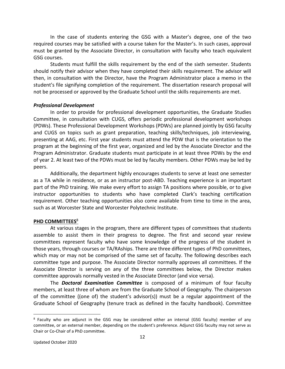In the case of students entering the GSG with a Master's degree, one of the two required courses may be satisfied with a course taken for the Master's. In such cases, approval must be granted by the Associate Director, in consultation with faculty who teach equivalent GSG courses.

 Students must fulfill the skills requirement by the end of the sixth semester. Students should notify their advisor when they have completed their skills requirement. The advisor will then, in consultation with the Director, have the Program Administrator place a memo in the student's file signifying completion of the requirement. The dissertation research proposal will not be processed or approved by the Graduate School until the skills requirements are met.

#### <span id="page-12-0"></span>*Professional Development*

 In order to provide for professional development opportunities, the Graduate Studies Committee, in consultation with CUGS, offers periodic professional development workshops (PDWs). These Professional Development Workshops (PDWs) are planned jointly by GSG faculty and CUGS on topics such as grant preparation, teaching skills/techniques, job interviewing, presenting at AAG, etc. First year students must attend the PDW that is the orientation to the program at the beginning of the first year, organized and led by the Associate Director and the Program Administrator. Graduate students must participate in at least three PDWs by the end of year 2. At least two of the PDWs must be led by faculty members. Other PDWs may be led by peers.

 Additionally, the department highly encourages students to serve at least one semester as a TA while in residence, or as an instructor post-ABD. Teaching experience is an important part of the PhD training. We make every effort to assign TA positions where possible, or to give requirement. Other teaching opportunities also come available from time to time in the area, such as at Worcester State and Worcester Polytechnic Institute. instructor opportunities to students who have completed Clark's teaching certification

#### <span id="page-12-1"></span>**PHD COMMITTEES**<sup>8</sup>

 At various stages in the program, there are different types of committees that students assemble to assist them in their progress to degree. The first and second year review committees represent faculty who have some knowledge of the progress of the student in those years, through courses or TA/RAships. There are three different types of PhD committees, which may or may not be comprised of the same set of faculty. The following describes each committee type and purpose. The Associate Director normally approves all committees. If the Associate Director is serving on any of the three committees below, the Director makes committee approvals normally vested in the Associate Director (and vice versa).

 The *Doctoral Examination Committee* is composed of a minimum of four faculty members, at least three of whom are from the Graduate School of Geography. The chairperson of the committee ((one of) the student's advisor(s)) must be a regular appointment of the Graduate School of Geography (tenure track as defined in the faculty handbook). Committee

<sup>&</sup>lt;sup>8</sup> Faculty who are adjunct in the GSG may be considered either an internal (GSG faculty) member of any committee, or an external member, depending on the student's preference. Adjunct GSG faculty may not serve as Chair or Co-Chair of a PhD committee.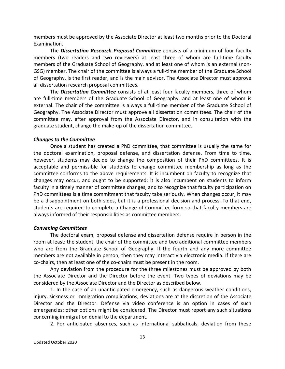members must be approved by the Associate Director at least two months prior to the Doctoral Examination.

 The *Dissertation Research Proposal Committee* consists of a minimum of four faculty members (two readers and two reviewers) at least three of whom are full-time faculty members of the Graduate School of Geography, and at least one of whom is an external (non- GSG) member. The chair of the committee is always a full-time member of the Graduate School of Geography, is the first reader, and is the main advisor. The Associate Director must approve all dissertation research proposal committees.

 The *Dissertation Committee* consists of at least four faculty members, three of whom are full-time members of the Graduate School of Geography, and at least one of whom is external. The chair of the committee is always a full-time member of the Graduate School of Geography. The Associate Director must approve all dissertation committees. The chair of the committee may, after approval from the Associate Director, and in consultation with the graduate student, change the make-up of the dissertation committee.

#### <span id="page-13-0"></span>*Changes to the Committee*

 Once a student has created a PhD committee, that committee is usually the same for the doctoral examination, proposal defense, and dissertation defense. From time to time, however, students may decide to change the composition of their PhD committees. It is acceptable and permissible for students to change committee membership as long as the committee conforms to the above requirements. It is incumbent on faculty to recognize that changes may occur, and ought to be supported; it is also incumbent on students to inform faculty in a timely manner of committee changes, and to recognize that faculty participation on PhD committees is a time commitment that faculty take seriously. When changes occur, it may be a disappointment on both sides, but it is a professional decision and process. To that end, students are required to complete a Change of Committee form so that faculty members are always informed of their responsibilities as committee members.

#### *Convening Committees*

 The doctoral exam, proposal defense and dissertation defense require in person in the room at least: the student, the chair of the committee and two additional committee members who are from the Graduate School of Geography. If the fourth and any more committee members are not available in person, then they may interact via electronic media. If there are co-chairs, then at least one of the co-chairs must be present in the room.

 Any deviation from the procedure for the three milestones must be approved by both the Associate Director and the Director before the event. Two types of deviations may be considered by the Associate Director and the Director as described below.

 1. In the case of an unanticipated emergency, such as dangerous weather conditions, injury, sickness or immigration complications, deviations are at the discretion of the Associate Director and the Director. Defense via video conference is an option in cases of such emergencies; other options might be considered. The Director must report any such situations concerning immigration denial to the department.

2. For anticipated absences, such as international sabbaticals, deviation from these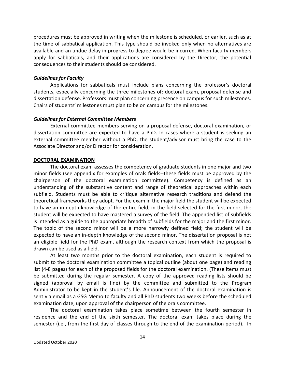procedures must be approved in writing when the milestone is scheduled, or earlier, such as at the time of sabbatical application. This type should be invoked only when no alternatives are available and an undue delay in progress to degree would be incurred. When faculty members apply for sabbaticals, and their applications are considered by the Director, the potential consequences to their students should be considered.

#### *Guidelines for Faculty*

 Applications for sabbaticals must include plans concerning the professor's doctoral dissertation defense. Professors must plan concerning presence on campus for such milestones. Chairs of students' milestones must plan to be on campus for the milestones. students, especially concerning the three milestones of: doctoral exam, proposal defense and

#### *Guidelines for External Committee Members*

 dissertation committee are expected to have a PhD. In cases where a student is seeking an external committee member without a PhD, the student/advisor must bring the case to the Associate Director and/or Director for consideration. External committee members serving on a proposal defense, doctoral examination, or

#### <span id="page-14-0"></span>**DOCTORAL EXAMINATION**

 The doctoral exam assesses the competency of graduate students in one major and two minor fields (see appendix for examples of orals fields--these fields must be approved by the chairperson of the doctoral examination committee). Competency is defined as an understanding of the substantive content and range of theoretical approaches within each subfield. Students must be able to critique alternative research traditions and defend the theoretical frameworks they adopt. For the exam in the major field the student will be expected to have an in-depth knowledge of the entire field; in the field selected for the first minor, the student will be expected to have mastered a survey of the field. The appended list of subfields is intended as a guide to the appropriate breadth of subfields for the major and the first minor. The topic of the second minor will be a more narrowly defined field; the student will be expected to have an in-depth knowledge of the second minor. The dissertation proposal is not an eligible field for the PhD exam, although the research context from which the proposal is drawn can be used as a field.

 At least two months prior to the doctoral examination, each student is required to submit to the doctoral examination committee a topical outline (about one page) and reading list (4-8 pages) for each of the proposed fields for the doctoral examination. (These items must be submitted during the regular semester. A copy of the approved reading lists should be signed (approval by email is fine) by the committee and submitted to the Program Administrator to be kept in the student's file. Announcement of the doctoral examination is sent via email as a GSG Memo to faculty and all PhD students two weeks before the scheduled examination date, upon approval of the chairperson of the orals committee.

 The doctoral examination takes place sometime between the fourth semester in residence and the end of the sixth semester. The doctoral exam takes place during the semester (i.e., from the first day of classes through to the end of the examination period). In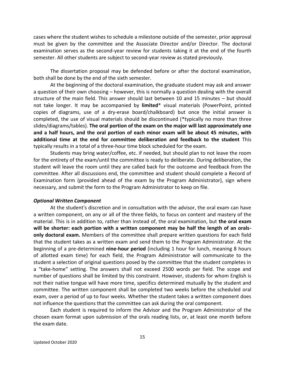must be given by the committee and the Associate Director and/or Director. The doctoral examination serves as the second-year review for students taking it at the end of the fourth semester. All other students are subject to second-year review as stated previously. cases where the student wishes to schedule a milestone outside of the semester, prior approval

 The dissertation proposal may be defended before or after the doctoral examination, both shall be done by the end of the sixth semester.

 At the beginning of the doctoral examination, the graduate student may ask and answer a question of their own choosing – however, this is normally a question dealing with the overall structure of the main field. This answer should last between 10 and 15 minutes – but should not take longer. It may be accompanied by **limited**\* visual materials (PowerPoint, printed copies of diagrams, use of a dry-erase board/chalkboard) but once the initial answer is completed, the use of visual materials should be discontinued (\*typically no more than three  slides/diagrams/tables). **The oral portion of the exam on the major will last approximately one and a half hours, and the oral portion of each minor exam will be about 45 minutes, with additional time at the end for committee deliberation and feedback to the student** This typically results in a total of a three-hour time block scheduled for the exam.

 Students may bring water/coffee, etc. if needed, but should plan to not leave the room for the entirety of the exam/until the committee is ready to deliberate. During deliberation, the student will leave the room until they are called back for the outcome and feedback from the committee. After all discussions end, the committee and student should complete a Record of Examination form (provided ahead of the exam by the Program Administrator), sign where necessary, and submit the form to the Program Administrator to keep on file.

#### <span id="page-15-0"></span>*Optional Written Component*

 At the student's discretion and in consultation with the advisor, the oral exam can have a written component, on any or all of the three fields, to focus on content and mastery of the material. This is in addition to, rather than instead of, the oral examination, but **the oral exam will be shorter: each portion with a written component may be half the length of an orals- only doctoral exam.** Members of the committee shall prepare written questions for each field that the student takes as a written exam and send them to the Program Administrator. At the beginning of a pre-determined **nine-hour period** (including 1 hour for lunch, meaning 8 hours of allotted exam time) for each field, the Program Administrator will communicate to the student a selection of original questions posed by the committee that the student completes in a "take-home" setting. The answers shall not exceed 2500 words per field. The scope and number of questions shall be limited by this constraint. However, students for whom English is not their native tongue will have more time, specifics determined mutually by the student and committee. The written component shall be completed two weeks before the scheduled oral exam, over a period of up to four weeks. Whether the student takes a written component does not influence the questions that the committee can ask during the oral component.

 Each student is required to inform the Advisor and the Program Administrator of the chosen exam format upon submission of the orals reading lists, or, at least one month before the exam date.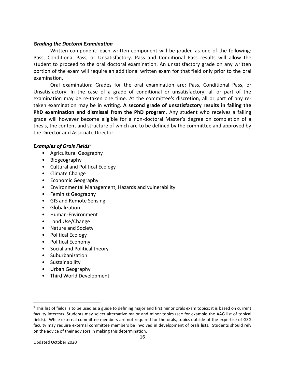# <span id="page-16-0"></span> *Grading the Doctoral Examination*

 Written component: each written component will be graded as one of the following: Pass, Conditional Pass, or Unsatisfactory. Pass and Conditional Pass results will allow the student to proceed to the oral doctoral examination. An unsatisfactory grade on any written portion of the exam will require an additional written exam for that field only prior to the oral examination.

 Oral examination: Grades for the oral examination are: Pass, Conditional Pass, or Unsatisfactory. In the case of a grade of conditional or unsatisfactory, all or part of the examination may be re-taken one time. At the committee's discretion, all or part of any re- taken examination may be in writing. **A second grade of unsatisfactory results in failing the PhD examination and dismissal from the PhD program**. Any student who receives a failing grade will however become eligible for a non-doctoral Master's degree on completion of a thesis, the content and structure of which are to be defined by the committee and approved by the Director and Associate Director.

# <span id="page-16-1"></span> *Examples of Orals Fields9*

- Agricultural Geography
- Biogeography
- Cultural and Political Ecology
- Climate Change
- Economic Geography
- Environmental Management, Hazards and vulnerability
- Feminist Geography
- GIS and Remote Sensing
- Globalization
- Human-Environment
- Land Use/Change
- Nature and Society
- Political Ecology
- Political Economy
- Social and Political theory
- Suburbanization
- Sustainability
- Urban Geography
- Third World Development

 $\overline{a}$ 

 $9$  This list of fields is to be used as a guide to defining major and first minor orals exam topics; it is based on current faculty interests. Students may select alternative major and minor topics (see for example the AAG list of topical fields). While external committee members are not required for the orals, topics outside of the expertise of GSG faculty may require external committee members be involved in development of orals lists. Students should rely on the advice of their advisors in making this determination.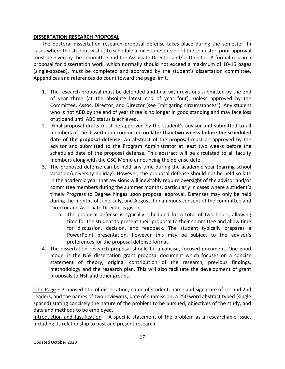# <span id="page-17-0"></span>**DISSERTATION RESEARCH PROPOSAL**

 The doctoral dissertation research proposal defense takes place during the semester. In must be given by the committee and the Associate Director and/or Director. A formal research proposal for dissertation work, which normally should not exceed a maximum of 10-15 pages (single-spaced), must be completed and approved by the student's dissertation committee. Appendices and references do count toward the page limit. cases where the student wishes to schedule a milestone outside of the semester, prior approval

- 1. The research proposal must be defended and final with revisions submitted by the end of year three (at the absolute latest end of year four), unless approved by the Committee, Assoc. Director, and Director (see "mitigating circumstances"). Any student who is not ABD by the end of year three is no longer in good standing and may face loss of stipend until ABD status is achieved.
- 2. Final proposal drafts must be approved by the student's advisor and submitted to all members of the dissertation committee **no later than two weeks before the scheduled date of the proposal defense.** An abstract of the proposal must be approved by the advisor and submitted to the Program Administrator at least two weeks before the scheduled date of the proposal defense. This abstract will be circulated to all faculty members along with the GSG Memo announcing the defense date.
- 3. The proposed defense can be held any time during the academic year (barring school vacation/university holiday). However, the proposal defense should not be held so late in the academic year that revisions will inevitably require oversight of the advisor and/or committee members during the summer months, particularly in cases where a student's timely Progress to Degree hinges upon proposal approval. Defenses may only be held during the months of June, July, and August if unanimous consent of the committee and Director and Associate Director is given.
	- a. The proposal defense is typically scheduled for a total of two hours, allowing time for the student to present their proposal to their committee and allow time for discussion, decision, and feedback. The student typically prepares a PowerPoint presentation, however this may be subject to the advisor's preferences for the proposal defense format.
- 4. The dissertation research proposal should be a concise, focused document. One good model is the NSF dissertation grant proposal document which focuses on a concise statement of theory, original contribution of the research, previous findings, methodology and the research plan. This will also facilitate the development of grant proposals to NSF and other groups.

Title Page – Proposed title of dissertation; name of student; name and signature of 1st and 2nd readers, and the names of two reviewers; date of submission; a 250 word abstract typed (single spaced) stating concisely the nature of the problem to be pursued, objectives of the study, and data and methods to be employed.

 Introduction and Justification – A specific statement of the problem as a researchable issue, including its relationship to past and present research.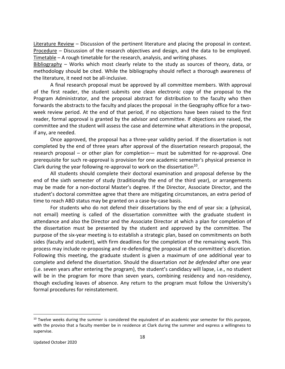Literature Review - Discussion of the pertinent literature and placing the proposal in context. Procedure - Discussion of the research objectives and design, and the data to be employed. Timetable – A rough timetable for the research, analysis, and writing phases.

Bibliography - Works which most clearly relate to the study as sources of theory, data, or methodology should be cited. While the bibliography should reflect a thorough awareness of the literature, it need not be all-inclusive.

 A final research proposal must be approved by all committee members. With approval of the first reader, the student submits one clean electronic copy of the proposal to the Program Administrator, and the proposal abstract for distribution to the faculty who then forwards the abstracts to the faculty and places the proposal in the Geography office for a two- week review period. At the end of that period, if no objections have been raised to the first reader, formal approval is granted by the advisor and committee. If objections are raised, the committee and the student will assess the case and determine what alterations in the proposal, if any, are needed.

 completed by the end of three years after approval of the dissertation research proposal, the research proposal – or other plan for completion— must be submitted for re-approval. One prerequisite for such re-approval is provision for one academic semester's physical presence in Clark during the year following re-approval to work on the dissertation $^{10}$ . Once approved, the proposal has a three-year validity period. If the dissertation is not

 All students should complete their doctoral examination and proposal defense by the end of the sixth semester of study (traditionally the end of the third year), or arrangements may be made for a non-doctoral Master's degree. If the Director, Associate Director, and the student's doctoral committee agree that there are mitigating circumstances, an extra period of time to reach ABD status may be granted on a case-by-case basis.

 For students who do not defend their dissertations by the end of year six: a (physical, not email) meeting is called of the dissertation committee with the graduate student in attendance and also the Director and the Associate Director at which a plan for completion of the dissertation must be presented by the student and approved by the committee. The purpose of the six-year meeting is to establish a strategic plan, based on commitments on both sides (faculty and student), with firm deadlines for the completion of the remaining work. This Following this meeting, the graduate student is given a maximum of one additional year to complete and defend the dissertation. Should the dissertation *not be defended* after one year (i.e. seven years after entering the program), the student's candidacy will lapse, i.e., no student will be in the program for more than seven years, combining residency and non-residency, though excluding leaves of absence. Any return to the program must follow the University's process may include re-proposing and re-defending the proposal at the committee's discretion. formal procedures for reinstatement.

 $10$  Twelve weeks during the summer is considered the equivalent of an academic year semester for this purpose, with the proviso that a faculty member be in residence at Clark during the summer and express a willingness to supervise.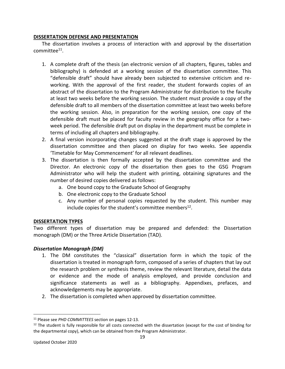# <span id="page-19-0"></span>**DISSERTATION DEFENSE AND PRESENTATION**

 The dissertation involves a process of interaction with and approval by the dissertation committee11.

- 1. A complete draft of the thesis (an electronic version of all chapters, figures, tables and bibliography) is defended at a working session of the dissertation committee. This "defensible draft" should have already been subjected to extensive criticism and re- working. With the approval of the first reader, the student forwards copies of an abstract of the dissertation to the Program Administrator for distribution to the faculty at least two weeks before the working session. The student must provide a copy of the defensible draft to all members of the dissertation committee at least two weeks before the working session. Also, in preparation for the working session, one copy of the defensible draft must be placed for faculty review in the geography office for a two- week period. The defensible draft put on display in the department must be complete in terms of including all chapters and bibliography.
- 2. A final version incorporating changes suggested at the draft stage is approved by the dissertation committee and then placed on display for two weeks. See appendix 'Timetable for May Commencement' for all relevant deadlines.
- 3. The dissertation is then formally accepted by the dissertation committee and the Director. An electronic copy of the dissertation then goes to the GSG Program Administrator who will help the student with printing, obtaining signatures and the number of desired copies delivered as follows:
	- a. One bound copy to the Graduate School of Geography
	- b. One electronic copy to the Graduate School
	- c. Any number of personal copies requested by the student. This number may include copies for the student's committee members<sup>12</sup>.

# <span id="page-19-1"></span>**DISSERTATION TYPES**

 Two different types of dissertation may be prepared and defended: the Dissertation monograph (DM) or the Three Article Dissertation (TAD).

# <span id="page-19-2"></span> *Dissertation Monograph (DM)*

- 1. The DM constitutes the "classical" dissertation form in which the topic of the dissertation is treated in monograph form, composed of a series of chapters that lay out the research problem or synthesis theme, review the relevant literature, detail the data or evidence and the mode of analysis employed, and provide conclusion and significance statements as well as a bibliography. Appendixes, prefaces, and acknowledgements may be appropriate.
- 2. The dissertation is completed when approved by dissertation committee.

<sup>&</sup>lt;sup>11</sup> Please see PHD COMMITTEES section on pages 12-13.

<sup>&</sup>lt;sup>11</sup> Please see *PHD COMMITTEES* section on pages 12-13.<br><sup>12</sup> The student is fully responsible for all costs connected with the dissertation (except for the cost of binding for the departmental copy), which can be obtained from the Program Administrator.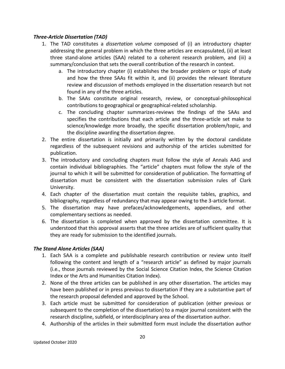# <span id="page-20-0"></span>*Three-Article Dissertation (TAD)*

- 1. The TAD constitutes a *dissertation volume* composed of (i) an introductory chapter addressing the general problem in which the three articles are encapsulated, (ii) at least three stand-alone articles (SAA) related to a coherent research problem, and (iii) a summary/conclusion that sets the overall contribution of the research in context.
	- a. The introductory chapter (i) establishes the broader problem or topic of study and how the three SAAs fit within it, and (ii) provides the relevant literature review and discussion of methods employed in the dissertation research but not found in any of the three articles.
	- contributions to geographical or geographical-related scholarship. b. The SAAs constitute original research, review, or conceptual-philosophical
	- c. The concluding chapter summarizes-reviews the findings of the SAAs and specifies the contributions that each article and the three-article set make to science/knowledge more broadly, the specific dissertation problem/topic, and the discipline awarding the dissertation degree.
- 2. The entire dissertation is initially and primarily written by the doctoral candidate regardless of the subsequent revisions and authorship of the articles submitted for publication.
- 3. The introductory and concluding chapters must follow the style of Annals AAG and contain individual bibliographies. The "article" chapters must follow the style of the journal to which it will be submitted for consideration of publication. The formatting of dissertation must be consistent with the dissertation submission rules of Clark University.
- 4. Each chapter of the dissertation must contain the requisite tables, graphics, and bibliography, regardless of redundancy that may appear owing to the 3-article format.
- 5. The dissertation may have prefaces/acknowledgements, appendixes, and other complementary sections as needed.
- 6. The dissertation is completed when approved by the dissertation committee. It is understood that this approval asserts that the three articles are of sufficient quality that they are ready for submission to the identified journals.

# <span id="page-20-1"></span> *The Stand Alone Articles (SAA)*

- 1. Each SAA is a complete and publishable research contribution or review unto itself following the content and length of a "research article" as defined by major journals (i.e., those journals reviewed by the Social Science Citation Index, the Science Citation Index or the Arts and Humanities Citation Index).
- 2. None of the three articles can be published in any other dissertation. The articles may have been published or in press previous to dissertation if they are a substantive part of the research proposal defended and approved by the School.
- 3. Each article must be submitted for consideration of publication (either previous or subsequent to the completion of the dissertation) to a major journal consistent with the research discipline, subfield, or interdisciplinary area of the dissertation author.
- 4. Authorship of the articles in their submitted form must include the dissertation author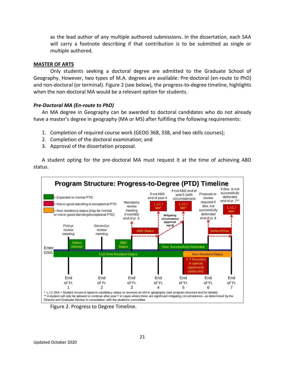as the lead author of any multiple authored submissions. In the dissertation, each SAA will carry a footnote describing if that contribution is to be submitted as single or multiple authored.

#### <span id="page-21-0"></span>**MASTER OF ARTS**

 Only students seeking a doctoral degree are admitted to the Graduate School of Geography. However, two types of M.A. degrees are available: Pre-doctoral (en-route to PhD) and non-doctoral (or terminal). Figure 2 (see below), the progress-to-degree timeline, highlights when the non-doctoral MA would be a relevant option for students.

#### <span id="page-21-1"></span>*Pre-Doctoral MA (En-route to PhD)*

 An MA degree in Geography can be awarded to doctoral candidates who do not already have a master's degree in geography (MA or MS) after fulfilling the following requirements:

- 1. Completion of required course work (GEOG 368, 338, and two skills courses);
- 2. Completion of the doctoral examination; and
- 3. Approval of the dissertation proposal.

 A student opting for the pre-doctoral MA must request it at the time of achieving ABD status.



Figure 2. Progress to Degree Timeline.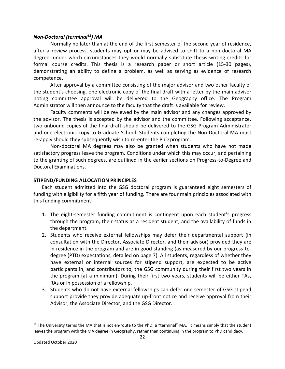# <span id="page-22-0"></span>*Non-Doctoral (terminal 13) MA*

 Normally no later than at the end of the first semester of the second year of residence, after a review process, students may opt or may be advised to shift to a non-doctoral MA degree, under which circumstances they would normally substitute thesis-writing credits for formal course credits. This thesis is a research paper or short article (15-30 pages), demonstrating an ability to define a problem, as well as serving as evidence of research competence.

 After approval by a committee consisting of the major advisor and two other faculty of the student's choosing, one electronic copy of the final draft with a letter by the main advisor noting committee approval will be delivered to the Geography office. The Program Administrator will then announce to the faculty that the draft is available for review.

 Faculty comments will be reviewed by the main advisor and any changes approved by the advisor. The thesis is accepted by the advisor and the committee. Following acceptance, two unbound copies of the final draft should be delivered to the GSG Program Administrator re-apply should they subsequently wish to re-enter the PhD program. and one electronic copy to Graduate School. Students completing the Non-Doctoral MA must

 Non-doctoral MA degrees may also be granted when students who have not made satisfactory progress leave the program. Conditions under which this may occur, and pertaining to the granting of such degrees, are outlined in the earlier sections on Progress-to-Degree and Doctoral Examinations.

### <span id="page-22-1"></span>**STIPEND/FUNDING ALLOCATION PRINCIPLES**

 Each student admitted into the GSG doctoral program is guaranteed eight semesters of funding with eligibility for a fifth year of funding. There are four main principles associated with this funding commitment:

- through the program, their status as a resident student, and the availability of funds in 1. The eight-semester funding commitment is contingent upon each student's progress the department.
- 2. Students who receive external fellowships may defer their departmental support (in consultation with the Director, Associate Director, and their advisor) provided they are in residence in the program and are in good standing (as measured by our progress-to- degree (PTD) expectations, detailed on page 7). All students, regardless of whether they have external or internal sources for stipend support, are expected to be active participants in, and contributors to, the GSG community during their first two years in the program (at a minimum). During their first two years, students will be either TAs, RAs or in possession of a fellowship.
- 3. Students who do not have external fellowships can defer one semester of GSG stipend support provide they provide adequate up-front notice and receive approval from their Advisor, the Associate Director, and the GSG Director.

 $13$  The University terms the MA that is not en-route to the PhD, a "terminal" MA. It means simply that the student leaves the program with the MA degree in Geography, rather than continuing in the program to PhD candidacy.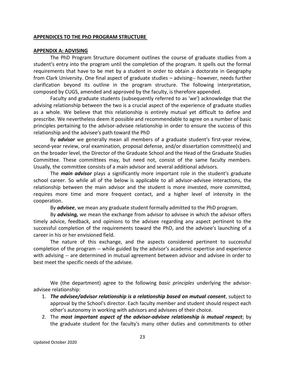#### <span id="page-23-0"></span>**APPENDICES TO THE PhD PROGRAM STRUCTURE**

#### <span id="page-23-1"></span>**APPENDIX A: ADVISING**

 student's entry into the program until the completion of the program. It spells out the formal requirements that have to be met by a student in order to obtain a doctorate in Geography from Clark University. One final aspect of graduate studies – advising-- however, needs further clarification beyond its outline in the program structure. The following interpretation, composed by CUGS, amended and approved by the faculty, is therefore appended. The PhD Program Structure document outlines the course of graduate studies from a

 Faculty and graduate students (subsequently referred to as 'we') acknowledge that the advising relationship between the two is a crucial aspect of the experience of graduate studies as a whole. We believe that this relationship is entirely mutual yet difficult to define and prescribe. We nevertheless deem it possible and recommendable to agree on a number of basic principles pertaining to the advisor-advisee relationship in order to ensure the success of this relationship and the advisee's path toward the PhD

 By *advisor* we generally mean all members of a graduate student's first-year review, second-year review, oral examination, proposal defense, and/or dissertation committee(s) and on the broader level, the Director of the Graduate School and the Head of the Graduate Studies Committee. These committees may, but need not, consist of the same faculty members. Usually, the committee consists of a main advisor and several additional advisors.

 The *main advisor* plays a significantly more important role in the student's graduate school career. So while all of the below is applicable to all advisor-advisee interactions, the relationship between the main advisor and the student is more invested, more committed, requires more time and more frequent contact, and a higher level of intensity in the cooperation.

By *advisee*, we mean any graduate student formally admitted to the PhD program.

 By *advising,* we mean the exchange from advisor to advisee in which the advisor offers timely advice, feedback, and opinions to the advisee regarding any aspect pertinent to the successful completion of the requirements toward the PhD, and the advisee's launching of a career in his or her envisioned field.

 The nature of this exchange, and the aspects considered pertinent to successful completion of the program -- while guided by the advisor's academic expertise and experience with advising -- are determined in mutual agreement between advisor and advisee in order to best meet the specific needs of the advisee.

 We (the department) agree to the following *basic principles* underlying the advisoradvisee relationship:

- 1. *The advisee/advisor relationship is a relationship based on mutual consent*, subject to approval by the School's director. Each faculty member and student should respect each other's autonomy in working with advisors and advisees of their choice.
- 2. The *most important aspect of the advisor-advisee relationship is mutual respect*; by the graduate student for the faculty's many other duties and commitments to other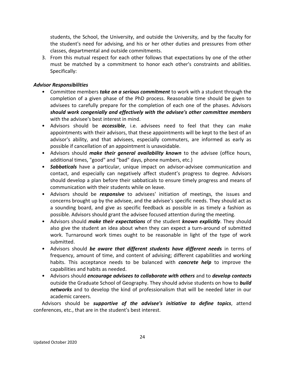students, the School, the University, and outside the University, and by the faculty for the student's need for advising, and his or her other duties and pressures from other classes, departmental and outside commitments.

 3. From this mutual respect for each other follows that expectations by one of the other must be matched by a commitment to honor each other's constraints and abilities. Specifically:

# <span id="page-24-0"></span>*Advisor Responsibilities*

- • Committee members *take on a serious commitment* to work with a student through the completion of a given phase of the PhD process. Reasonable time should be given to advisees to carefully prepare for the completion of each one of the phases. Advisors  *should work congenially and effectively with the advisee's other committee members*  with the advisee's best interest in mind.
- • Advisors should be *accessible*, i.e. advisees need to feel that they can make appointments with their advisors, that these appointments will be kept to the best of an advisor's ability, and that advisees, especially commuters, are informed as early as possible if cancellation of an appointment is unavoidable.
- Advisors should *make their general availability known* to the advisee (office hours, additional times, "good" and "bad" days, phone numbers, etc.)
- • *Sabbaticals* have a particular, unique impact on advisor-advisee communication and contact, and especially can negatively affect student's progress to degree. Advisors should develop a plan before their sabbaticals to ensure timely progress and means of communication with their students while on leave.
- • Advisors should be *responsive* to advisees' initiation of meetings, the issues and concerns brought up by the advisee, and the advisee's specific needs. They should act as a sounding board, and give as specific feedback as possible in as timely a fashion as possible. Advisors should grant the advisee focused attention during the meeting.
- • Advisors should *make their expectations* of the student *known explicitly*. They should also give the student an idea about when they can expect a turn-around of submitted work. Turnaround work times ought to be reasonable in light of the type of work submitted.
- Advisors should *be aware that different students have different needs* in terms of frequency, amount of time, and content of advising; different capabilities and working habits. This acceptance needs to be balanced with *concrete help* to improve the capabilities and habits as needed.
- Advisors should *encourage advisees to collaborate with others* and to *develop contacts*  outside the Graduate School of Geography. They should advise students on how to *build networks* and to develop the kind of professionalism that will be needed later in our academic careers.

 conferences, etc., that are in the student's best interest. Advisors should be *supportive of the advisee's initiative to define topics*, attend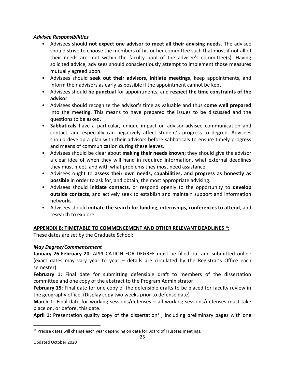# <span id="page-25-0"></span>*Advisee Responsibilities*

- Advisees should **not expect one advisor to meet all their advising needs**. The advisee should strive to choose the members of his or her committee such that most if not all of their needs are met within the faculty pool of the advisee's committee(s). Having solicited advice, advisees should conscientiously attempt to implement those measures mutually agreed upon.
- Advisees should **seek out their advisors, initiate meetings**, keep appointments, and inform their advisors as early as possible if the appointment cannot be kept.
- Advisees should **be punctual** for appointments, and **respect the time constraints of the advisor**.
- Advisees should recognize the advisor's time as valuable and thus **come well prepared**  into the meeting. This means to have prepared the issues to be discussed and the questions to be asked.
- • **Sabbaticals** have a particular, unique impact on advisor-advisee communication and contact, and especially can negatively affect student's progress to degree. Advisees should develop a plan with their advisors before sabbaticals to ensure timely progress and means of communication during these leaves.
- • Advisees should be clear about **making their needs known**; they should give the advisor a clear idea of when they will hand in required information, what external deadlines they must meet, and with what problems they most need assistance.
- Advisees ought to **assess their own needs, capabilities, and progress as honestly as possible** in order to ask for, and obtain, the most appropriate advising.
- • Advisees should **initiate contacts**, or respond openly to the opportunity to **develop outside contacts**, and actively seek to establish and maintain support and information networks.
- Advisees should **initiate the search for funding, internships, conferences to attend**, and research to explore.

# <span id="page-25-1"></span>**APPENDIX B: TIMETABLE TO COMMENCEMENT AND OTHER RELEVANT DEADLINES**<sup>14</sup>**:**

These dates are set by the Graduate School:

# <span id="page-25-2"></span>*May Degree/Commencement*

 **January 26-February 20:** APPLICATION FOR DEGREE must be filled out and submitted online (exact dates may vary year to year – details are circulated by the Registrar's Office each semester).

 **February 1:** Final date for submitting defensible draft to members of the dissertation committee and one copy of the abstract to the Program Administrator.

 **February 15**: Final date for one copy of the defensible drafts to be placed for faculty review in the geography office. (Display copy two weeks prior to defense date)

**March 1:** Final date for working sessions/defenses – all working sessions/defenses must take place on, or before, this date.

April 1: Presentation quality copy of the dissertation<sup>15</sup>, including preliminary pages with one

<sup>&</sup>lt;sup>14</sup> Precise dates will change each year depending on date for Board of Trustees meetings.